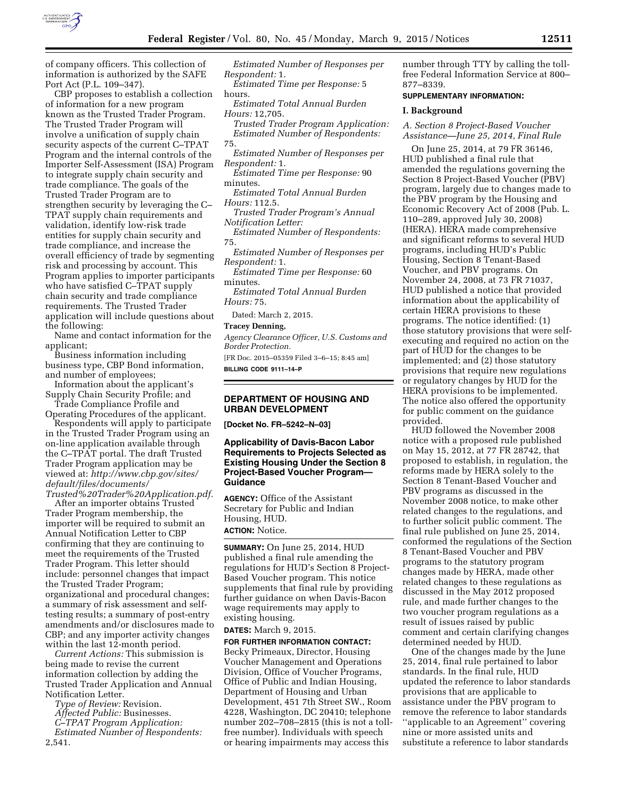

of company officers. This collection of information is authorized by the SAFE Port Act (P.L. 109–347).

CBP proposes to establish a collection of information for a new program known as the Trusted Trader Program. The Trusted Trader Program will involve a unification of supply chain security aspects of the current C–TPAT Program and the internal controls of the Importer Self-Assessment (ISA) Program to integrate supply chain security and trade compliance. The goals of the Trusted Trader Program are to strengthen security by leveraging the C– TPAT supply chain requirements and validation, identify low-risk trade entities for supply chain security and trade compliance, and increase the overall efficiency of trade by segmenting risk and processing by account. This Program applies to importer participants who have satisfied C–TPAT supply chain security and trade compliance requirements. The Trusted Trader application will include questions about the following:

Name and contact information for the applicant;

- Business information including business type, CBP Bond information, and number of employees;
- Information about the applicant's Supply Chain Security Profile; and

Trade Compliance Profile and Operating Procedures of the applicant. Respondents will apply to participate

in the Trusted Trader Program using an on-line application available through the C–TPAT portal. The draft Trusted Trader Program application may be viewed at: *[http://www.cbp.gov/sites/](http://www.cbp.gov/sites/default/files/documents/Trusted%20Trader%20Application.pdf) [default/files/documents/](http://www.cbp.gov/sites/default/files/documents/Trusted%20Trader%20Application.pdf) [Trusted%20Trader%20Application.pdf.](http://www.cbp.gov/sites/default/files/documents/Trusted%20Trader%20Application.pdf)* 

After an importer obtains Trusted Trader Program membership, the importer will be required to submit an Annual Notification Letter to CBP confirming that they are continuing to meet the requirements of the Trusted Trader Program. This letter should include: personnel changes that impact the Trusted Trader Program; organizational and procedural changes; a summary of risk assessment and selftesting results; a summary of post-entry amendments and/or disclosures made to CBP; and any importer activity changes within the last 12-month period.

*Current Actions:* This submission is being made to revise the current information collection by adding the Trusted Trader Application and Annual Notification Letter.

*Type of Review:* Revision.

*Affected Public:* Businesses.

*C–TPAT Program Application:* 

*Estimated Number of Respondents:*  2,541.

*Estimated Number of Responses per Respondent:* 1.

*Estimated Time per Response:* 5 hours.

*Estimated Total Annual Burden Hours:* 12,705.

*Trusted Trader Program Application: Estimated Number of Respondents:* 

*Estimated Number of Responses per Respondent:* 1.

*Estimated Time per Response:* 90 minutes.

*Estimated Total Annual Burden Hours:* 112.5.

*Trusted Trader Program's Annual Notification Letter:* 

*Estimated Number of Respondents:*  75.

*Estimated Number of Responses per Respondent:* 1.

*Estimated Time per Response:* 60 minutes.

*Estimated Total Annual Burden Hours:* 75.

Dated: March 2, 2015.

#### **Tracey Denning,**

*Agency Clearance Officer, U.S. Customs and Border Protection.*  [FR Doc. 2015–05359 Filed 3–6–15; 8:45 am]

**BILLING CODE 9111–14–P** 

## **DEPARTMENT OF HOUSING AND URBAN DEVELOPMENT**

**[Docket No. FR–5242–N–03]** 

# **Applicability of Davis-Bacon Labor Requirements to Projects Selected as Existing Housing Under the Section 8 Project-Based Voucher Program— Guidance**

**AGENCY:** Office of the Assistant Secretary for Public and Indian Housing, HUD. **ACTION:** Notice.

**SUMMARY:** On June 25, 2014, HUD published a final rule amending the regulations for HUD's Section 8 Project-Based Voucher program. This notice supplements that final rule by providing further guidance on when Davis-Bacon wage requirements may apply to existing housing.

#### **DATES:** March 9, 2015.

#### **FOR FURTHER INFORMATION CONTACT:**

Becky Primeaux, Director, Housing Voucher Management and Operations Division, Office of Voucher Programs, Office of Public and Indian Housing, Department of Housing and Urban Development, 451 7th Street SW., Room 4228, Washington, DC 20410; telephone number 202–708–2815 (this is not a tollfree number). Individuals with speech or hearing impairments may access this

number through TTY by calling the tollfree Federal Information Service at 800– 877–8339.

#### **SUPPLEMENTARY INFORMATION:**

#### **I. Background**

*A. Section 8 Project-Based Voucher Assistance—June 25, 2014, Final Rule* 

On June 25, 2014, at 79 FR 36146, HUD published a final rule that amended the regulations governing the Section 8 Project-Based Voucher (PBV) program, largely due to changes made to the PBV program by the Housing and Economic Recovery Act of 2008 (Pub. L. 110–289, approved July 30, 2008) (HERA). HERA made comprehensive and significant reforms to several HUD programs, including HUD's Public Housing, Section 8 Tenant-Based Voucher, and PBV programs. On November 24, 2008, at 73 FR 71037, HUD published a notice that provided information about the applicability of certain HERA provisions to these programs. The notice identified: (1) those statutory provisions that were selfexecuting and required no action on the part of HUD for the changes to be implemented; and (2) those statutory provisions that require new regulations or regulatory changes by HUD for the HERA provisions to be implemented. The notice also offered the opportunity for public comment on the guidance provided.

HUD followed the November 2008 notice with a proposed rule published on May 15, 2012, at 77 FR 28742, that proposed to establish, in regulation, the reforms made by HERA solely to the Section 8 Tenant-Based Voucher and PBV programs as discussed in the November 2008 notice, to make other related changes to the regulations, and to further solicit public comment. The final rule published on June 25, 2014, conformed the regulations of the Section 8 Tenant-Based Voucher and PBV programs to the statutory program changes made by HERA, made other related changes to these regulations as discussed in the May 2012 proposed rule, and made further changes to the two voucher program regulations as a result of issues raised by public comment and certain clarifying changes determined needed by HUD.

One of the changes made by the June 25, 2014, final rule pertained to labor standards. In the final rule, HUD updated the reference to labor standards provisions that are applicable to assistance under the PBV program to remove the reference to labor standards ''applicable to an Agreement'' covering nine or more assisted units and substitute a reference to labor standards

<sup>75.</sup>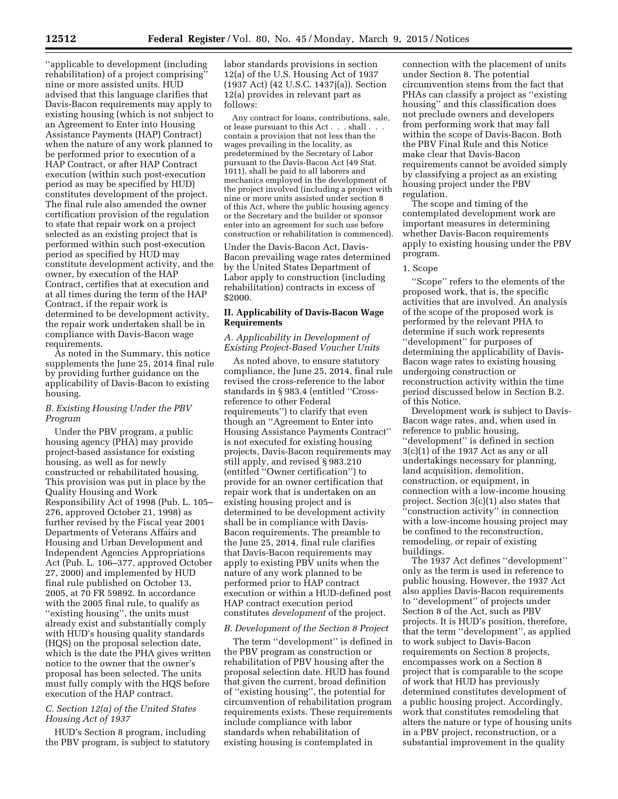''applicable to development (including rehabilitation) of a project comprising'' nine or more assisted units. HUD advised that this language clarifies that Davis-Bacon requirements may apply to existing housing (which is not subject to an Agreement to Enter into Housing Assistance Payments (HAP) Contract) when the nature of any work planned to be performed prior to execution of a HAP Contract, or after HAP Contract execution (within such post-execution period as may be specified by HUD) constitutes development of the project. The final rule also amended the owner certification provision of the regulation to state that repair work on a project selected as an existing project that is performed within such post-execution period as specified by HUD may constitute development activity, and the owner, by execution of the HAP Contract, certifies that at execution and at all times during the term of the HAP Contract, if the repair work is determined to be development activity, the repair work undertaken shall be in compliance with Davis-Bacon wage requirements.

As noted in the Summary, this notice supplements the June 25, 2014 final rule by providing further guidance on the applicability of Davis-Bacon to existing housing.

## *B. Existing Housing Under the PBV Program*

Under the PBV program, a public housing agency (PHA) may provide project-based assistance for existing housing, as well as for newly constructed or rehabilitated housing. This provision was put in place by the Quality Housing and Work Responsibility Act of 1998 (Pub. L. 105– 276, approved October 21, 1998) as further revised by the Fiscal year 2001 Departments of Veterans Affairs and Housing and Urban Development and Independent Agencies Appropriations Act (Pub. L. 106–377, approved October 27, 2000) and implemented by HUD final rule published on October 13, 2005, at 70 FR 59892. In accordance with the 2005 final rule, to qualify as ''existing housing'', the units must already exist and substantially comply with HUD's housing quality standards (HQS) on the proposal selection date, which is the date the PHA gives written notice to the owner that the owner's proposal has been selected. The units must fully comply with the HQS before execution of the HAP contract.

## *C. Section 12(a) of the United States Housing Act of 1937*

HUD's Section 8 program, including the PBV program, is subject to statutory

labor standards provisions in section 12(a) of the U.S. Housing Act of 1937 (1937 Act) (42 U.S.C. 1437j(a)). Section 12(a) provides in relevant part as follows:

Any contract for loans, contributions, sale, or lease pursuant to this Act. . . shall . contain a provision that not less than the wages prevailing in the locality, as predetermined by the Secretary of Labor pursuant to the Davis-Bacon Act (49 Stat. 1011), shall be paid to all laborers and mechanics employed in the development of the project involved (including a project with nine or more units assisted under section 8 of this Act, where the public housing agency or the Secretary and the builder or sponsor enter into an agreement for such use before construction or rehabilitation is commenced).

Under the Davis-Bacon Act, Davis-Bacon prevailing wage rates determined by the United States Department of Labor apply to construction (including rehabilitation) contracts in excess of \$2000.

### **II. Applicability of Davis-Bacon Wage Requirements**

# *A. Applicability in Development of Existing Project-Based Voucher Units*

As noted above, to ensure statutory compliance, the June 25, 2014, final rule revised the cross-reference to the labor standards in § 983.4 (entitled ''Crossreference to other Federal requirements'') to clarify that even though an ''Agreement to Enter into Housing Assistance Payments Contract'' is not executed for existing housing projects, Davis-Bacon requirements may still apply, and revised § 983.210 (entitled ''Owner certification'') to provide for an owner certification that repair work that is undertaken on an existing housing project and is determined to be development activity shall be in compliance with Davis-Bacon requirements. The preamble to the June 25, 2014, final rule clarifies that Davis-Bacon requirements may apply to existing PBV units when the nature of any work planned to be performed prior to HAP contract execution or within a HUD-defined post HAP contract execution period constitutes *development* of the project.

# *B. Development of the Section 8 Project*

The term ''development'' is defined in the PBV program as construction or rehabilitation of PBV housing after the proposal selection date. HUD has found that given the current, broad definition of ''existing housing'', the potential for circumvention of rehabilitation program requirements exists. These requirements include compliance with labor standards when rehabilitation of existing housing is contemplated in

connection with the placement of units under Section 8. The potential circumvention stems from the fact that PHAs can classify a project as ''existing housing'' and this classification does not preclude owners and developers from performing work that may fall within the scope of Davis-Bacon. Both the PBV Final Rule and this Notice make clear that Davis-Bacon requirements cannot be avoided simply by classifying a project as an existing housing project under the PBV regulation.

The scope and timing of the contemplated development work are important measures in determining whether Davis-Bacon requirements apply to existing housing under the PBV program.

### 1. Scope

''Scope'' refers to the elements of the proposed work, that is, the specific activities that are involved. An analysis of the scope of the proposed work is performed by the relevant PHA to determine if such work represents ''development'' for purposes of determining the applicability of Davis-Bacon wage rates to existing housing undergoing construction or reconstruction activity within the time period discussed below in Section B.2. of this Notice.

Development work is subject to Davis-Bacon wage rates, and, when used in reference to public housing, ''development'' is defined in section 3(c)(1) of the 1937 Act as any or all undertakings necessary for planning, land acquisition, demolition, construction, or equipment, in connection with a low-income housing project. Section 3(c)(1) also states that ''construction activity'' in connection with a low-income housing project may be confined to the reconstruction, remodeling, or repair of existing buildings.

The 1937 Act defines ''development'' only as the term is used in reference to public housing. However, the 1937 Act also applies Davis-Bacon requirements to ''development'' of projects under Section 8 of the Act, such as PBV projects. It is HUD's position, therefore, that the term ''development'', as applied to work subject to Davis-Bacon requirements on Section 8 projects, encompasses work on a Section 8 project that is comparable to the scope of work that HUD has previously determined constitutes development of a public housing project. Accordingly, work that constitutes remodeling that alters the nature or type of housing units in a PBV project, reconstruction, or a substantial improvement in the quality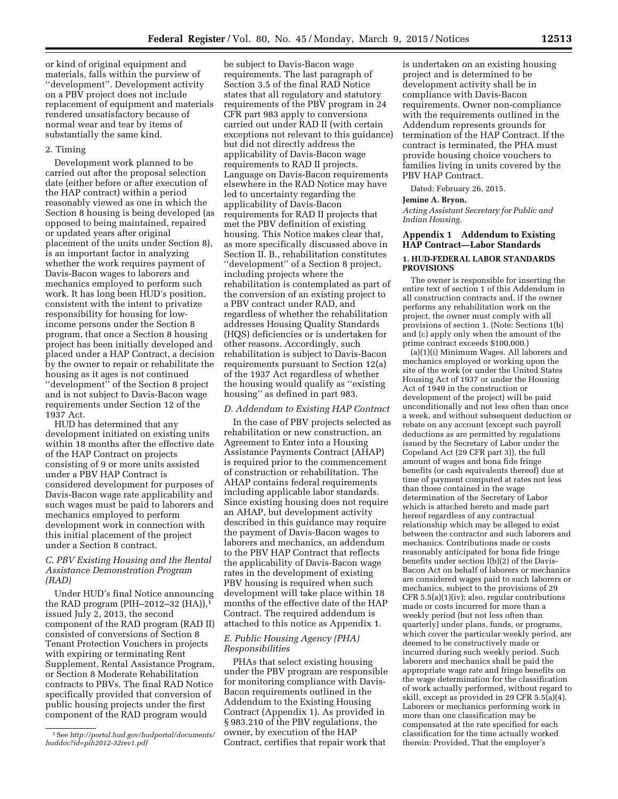or kind of original equipment and materials, falls within the purview of ''development''. Development activity on a PBV project does not include replacement of equipment and materials rendered unsatisfactory because of normal wear and tear by items of substantially the same kind.

### 2. Timing

Development work planned to be carried out after the proposal selection date (either before or after execution of the HAP contract) within a period reasonably viewed as one in which the Section 8 housing is being developed (as opposed to being maintained, repaired or updated years after original placement of the units under Section 8), is an important factor in analyzing whether the work requires payment of Davis-Bacon wages to laborers and mechanics employed to perform such work. It has long been HUD's position, consistent with the intent to privatize responsibility for housing for lowincome persons under the Section 8 program, that once a Section 8 housing project has been initially developed and placed under a HAP Contract, a decision by the owner to repair or rehabilitate the housing as it ages is not continued ''development'' of the Section 8 project and is not subject to Davis-Bacon wage requirements under Section 12 of the 1937 Act.

HUD has determined that any development initiated on existing units within 18 months after the effective date of the HAP Contract on projects consisting of 9 or more units assisted under a PBV HAP Contract is considered development for purposes of Davis-Bacon wage rate applicability and such wages must be paid to laborers and mechanics employed to perform development work in connection with this initial placement of the project under a Section 8 contract.

# *C. PBV Existing Housing and the Rental Assistance Demonstration Program (RAD)*

Under HUD's final Notice announcing the RAD program (PIH–2012–32 (HA)),1 issued July 2, 2013, the second component of the RAD program (RAD II) consisted of conversions of Section 8 Tenant Protection Vouchers in projects with expiring or terminating Rent Supplement, Rental Assistance Program, or Section 8 Moderate Rehabilitation contracts to PBVs. The final RAD Notice specifically provided that conversion of public housing projects under the first component of the RAD program would

be subject to Davis-Bacon wage requirements. The last paragraph of Section 3.5 of the final RAD Notice states that all regulatory and statutory requirements of the PBV program in 24 CFR part 983 apply to conversions carried out under RAD II (with certain exceptions not relevant to this guidance) but did not directly address the applicability of Davis-Bacon wage requirements to RAD II projects. Language on Davis-Bacon requirements elsewhere in the RAD Notice may have led to uncertainty regarding the applicability of Davis-Bacon requirements for RAD II projects that met the PBV definition of existing housing. This Notice makes clear that, as more specifically discussed above in Section II. B., rehabilitation constitutes ''development'' of a Section 8 project, including projects where the rehabilitation is contemplated as part of the conversion of an existing project to a PBV contract under RAD, and regardless of whether the rehabilitation addresses Housing Quality Standards (HQS) deficiencies or is undertaken for other reasons. Accordingly, such rehabilitation is subject to Davis-Bacon requirements pursuant to Section 12(a) of the 1937 Act regardless of whether the housing would qualify as ''existing housing'' as defined in part 983.

### *D. Addendum to Existing HAP Contract*

In the case of PBV projects selected as rehabilitation or new construction, an Agreement to Enter into a Housing Assistance Payments Contract (AHAP) is required prior to the commencement of construction or rehabilitation. The AHAP contains federal requirements including applicable labor standards. Since existing housing does not require an AHAP, but development activity described in this guidance may require the payment of Davis-Bacon wages to laborers and mechanics, an addendum to the PBV HAP Contract that reflects the applicability of Davis-Bacon wage rates in the development of existing PBV housing is required when such development will take place within 18 months of the effective date of the HAP Contract. The required addendum is attached to this notice as Appendix 1.

### *E. Public Housing Agency (PHA) Responsibilities*

PHAs that select existing housing under the PBV program are responsible for monitoring compliance with Davis-Bacon requirements outlined in the Addendum to the Existing Housing Contract (Appendix 1). As provided in § 983.210 of the PBV regulations, the owner, by execution of the HAP Contract, certifies that repair work that

is undertaken on an existing housing project and is determined to be development activity shall be in compliance with Davis-Bacon requirements. Owner non-compliance with the requirements outlined in the Addendum represents grounds for termination of the HAP Contract. If the contract is terminated, the PHA must provide housing choice vouchers to families living in units covered by the PBV HAP Contract.

Dated: February 26, 2015.

### **Jemine A. Bryon,**

*Acting Assistant Secretary for Public and Indian Housing.* 

# **Appendix 1 Addendum to Existing HAP Contract—Labor Standards**

### **1. HUD-FEDERAL LABOR STANDARDS PROVISIONS**

The owner is responsible for inserting the entire text of section 1 of this Addendum in all construction contracts and, if the owner performs any rehabilitation work on the project, the owner must comply with all provisions of section 1. (Note: Sections 1(b) and (c) apply only when the amount of the prime contract exceeds \$100,000.)

(a)(1)(i) Minimum Wages. All laborers and mechanics employed or working upon the site of the work (or under the United States Housing Act of 1937 or under the Housing Act of 1949 in the construction or development of the project) will be paid unconditionally and not less often than once a week, and without subsequent deduction or rebate on any account (except such payroll deductions as are permitted by regulations issued by the Secretary of Labor under the Copeland Act (29 CFR part 3)), the full amount of wages and bona fide fringe benefits (or cash equivalents thereof) due at time of payment computed at rates not less than those contained in the wage determination of the Secretary of Labor which is attached hereto and made part hereof regardless of any contractual relationship which may be alleged to exist between the contractor and such laborers and mechanics. Contributions made or costs reasonably anticipated for bona fide fringe benefits under section l(b)(2) of the Davis-Bacon Act on behalf of laborers or mechanics are considered wages paid to such laborers or mechanics, subject to the provisions of 29 CFR 5.5(a)(1)(iv); also, regular contributions made or costs incurred for more than a weekly period (but not less often than quarterly) under plans, funds, or programs, which cover the particular weekly period, are deemed to be constructively made or incurred during such weekly period. Such laborers and mechanics shall be paid the appropriate wage rate and fringe benefits on the wage determination for the classification of work actually performed, without regard to skill, except as provided in 29 CFR 5.5(a)(4). Laborers or mechanics performing work in more than one classification may be compensated at the rate specified for each classification for the time actually worked therein: Provided, That the employer's

<sup>1</sup>See *[http://portal.hud.gov/hudportal/documents/](http://portal.hud.gov/hudportal/documents/huddoc?id=pih2012-32rev1.pdf)  [huddoc?id=pih2012-32rev1.pdf](http://portal.hud.gov/hudportal/documents/huddoc?id=pih2012-32rev1.pdf)*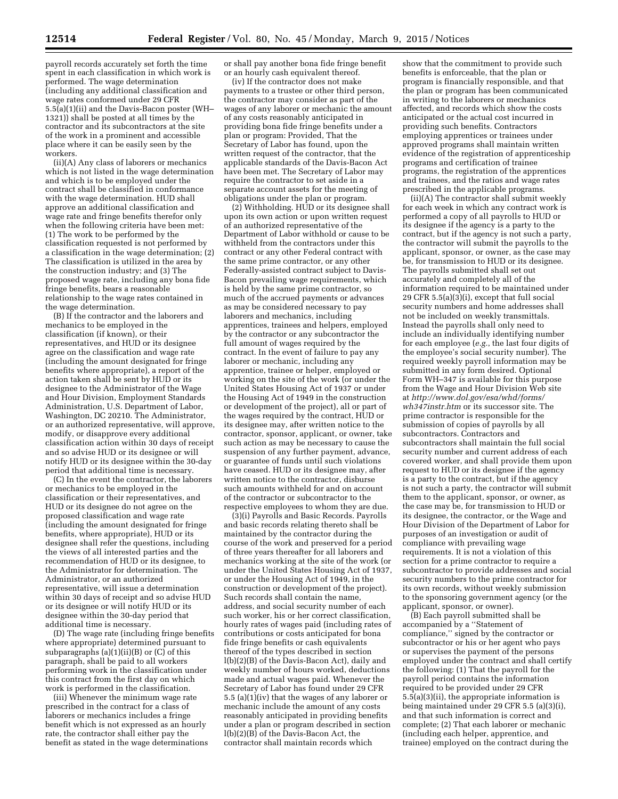payroll records accurately set forth the time spent in each classification in which work is performed. The wage determination (including any additional classification and wage rates conformed under 29 CFR 5.5(a)(1)(ii) and the Davis-Bacon poster (WH– 1321)) shall be posted at all times by the contractor and its subcontractors at the site of the work in a prominent and accessible place where it can be easily seen by the workers.

(ii)(A) Any class of laborers or mechanics which is not listed in the wage determination and which is to be employed under the contract shall be classified in conformance with the wage determination. HUD shall approve an additional classification and wage rate and fringe benefits therefor only when the following criteria have been met: (1) The work to be performed by the classification requested is not performed by a classification in the wage determination; (2) The classification is utilized in the area by the construction industry; and (3) The proposed wage rate, including any bona fide fringe benefits, bears a reasonable relationship to the wage rates contained in the wage determination.

(B) If the contractor and the laborers and mechanics to be employed in the classification (if known), or their representatives, and HUD or its designee agree on the classification and wage rate (including the amount designated for fringe benefits where appropriate), a report of the action taken shall be sent by HUD or its designee to the Administrator of the Wage and Hour Division, Employment Standards Administration, U.S. Department of Labor, Washington, DC 20210. The Administrator, or an authorized representative, will approve, modify, or disapprove every additional classification action within 30 days of receipt and so advise HUD or its designee or will notify HUD or its designee within the 30-day period that additional time is necessary.

(C) In the event the contractor, the laborers or mechanics to be employed in the classification or their representatives, and HUD or its designee do not agree on the proposed classification and wage rate (including the amount designated for fringe benefits, where appropriate), HUD or its designee shall refer the questions, including the views of all interested parties and the recommendation of HUD or its designee, to the Administrator for determination. The Administrator, or an authorized representative, will issue a determination within 30 days of receipt and so advise HUD or its designee or will notify HUD or its designee within the 30-day period that additional time is necessary.

(D) The wage rate (including fringe benefits where appropriate) determined pursuant to subparagraphs  $(a)(1)(ii)(B)$  or  $(C)$  of this paragraph, shall be paid to all workers performing work in the classification under this contract from the first day on which work is performed in the classification.

(iii) Whenever the minimum wage rate prescribed in the contract for a class of laborers or mechanics includes a fringe benefit which is not expressed as an hourly rate, the contractor shall either pay the benefit as stated in the wage determinations

or shall pay another bona fide fringe benefit or an hourly cash equivalent thereof.

(iv) If the contractor does not make payments to a trustee or other third person, the contractor may consider as part of the wages of any laborer or mechanic the amount of any costs reasonably anticipated in providing bona fide fringe benefits under a plan or program: Provided, That the Secretary of Labor has found, upon the written request of the contractor, that the applicable standards of the Davis-Bacon Act have been met. The Secretary of Labor may require the contractor to set aside in a separate account assets for the meeting of obligations under the plan or program.

(2) Withholding. HUD or its designee shall upon its own action or upon written request of an authorized representative of the Department of Labor withhold or cause to be withheld from the contractors under this contract or any other Federal contract with the same prime contractor, or any other Federally-assisted contract subject to Davis-Bacon prevailing wage requirements, which is held by the same prime contractor, so much of the accrued payments or advances as may be considered necessary to pay laborers and mechanics, including apprentices, trainees and helpers, employed by the contractor or any subcontractor the full amount of wages required by the contract. In the event of failure to pay any laborer or mechanic, including any apprentice, trainee or helper, employed or working on the site of the work (or under the United States Housing Act of 1937 or under the Housing Act of 1949 in the construction or development of the project), all or part of the wages required by the contract, HUD or its designee may, after written notice to the contractor, sponsor, applicant, or owner, take such action as may be necessary to cause the suspension of any further payment, advance, or guarantee of funds until such violations have ceased. HUD or its designee may, after written notice to the contractor, disburse such amounts withheld for and on account of the contractor or subcontractor to the respective employees to whom they are due.

(3)(i) Payrolls and Basic Records. Payrolls and basic records relating thereto shall be maintained by the contractor during the course of the work and preserved for a period of three years thereafter for all laborers and mechanics working at the site of the work (or under the United States Housing Act of 1937, or under the Housing Act of 1949, in the construction or development of the project). Such records shall contain the name, address, and social security number of each such worker, his or her correct classification, hourly rates of wages paid (including rates of contributions or costs anticipated for bona fide fringe benefits or cash equivalents thereof of the types described in section l(b)(2)(B) of the Davis-Bacon Act), daily and weekly number of hours worked, deductions made and actual wages paid. Whenever the Secretary of Labor has found under 29 CFR 5.5 (a) $(1)(iv)$  that the wages of any laborer or mechanic include the amount of any costs reasonably anticipated in providing benefits under a plan or program described in section  $l(b)(2)(B)$  of the Davis-Bacon Act, the contractor shall maintain records which

show that the commitment to provide such benefits is enforceable, that the plan or program is financially responsible, and that the plan or program has been communicated in writing to the laborers or mechanics affected, and records which show the costs anticipated or the actual cost incurred in providing such benefits. Contractors employing apprentices or trainees under approved programs shall maintain written evidence of the registration of apprenticeship programs and certification of trainee programs, the registration of the apprentices and trainees, and the ratios and wage rates prescribed in the applicable programs.

(ii)(A) The contractor shall submit weekly for each week in which any contract work is performed a copy of all payrolls to HUD or its designee if the agency is a party to the contract, but if the agency is not such a party, the contractor will submit the payrolls to the applicant, sponsor, or owner, as the case may be, for transmission to HUD or its designee. The payrolls submitted shall set out accurately and completely all of the information required to be maintained under 29 CFR  $5.5(a)(3)(i)$ , except that full social security numbers and home addresses shall not be included on weekly transmittals. Instead the payrolls shall only need to include an individually identifying number for each employee (*e.g.*, the last four digits of the employee's social security number). The required weekly payroll information may be submitted in any form desired. Optional Form WH–347 is available for this purpose from the Wage and Hour Division Web site at *[http://www.dol.gov/esa/whd/forms/](http://www.dol.gov/esa/whd/forms/wh347instr.htm) [wh347instr.htm](http://www.dol.gov/esa/whd/forms/wh347instr.htm)* or its successor site. The prime contractor is responsible for the submission of copies of payrolls by all subcontractors. Contractors and subcontractors shall maintain the full social security number and current address of each covered worker, and shall provide them upon request to HUD or its designee if the agency is a party to the contract, but if the agency is not such a party, the contractor will submit them to the applicant, sponsor, or owner, as the case may be, for transmission to HUD or its designee, the contractor, or the Wage and Hour Division of the Department of Labor for purposes of an investigation or audit of compliance with prevailing wage requirements. It is not a violation of this section for a prime contractor to require a subcontractor to provide addresses and social security numbers to the prime contractor for its own records, without weekly submission to the sponsoring government agency (or the applicant, sponsor, or owner).

(B) Each payroll submitted shall be accompanied by a ''Statement of compliance,'' signed by the contractor or subcontractor or his or her agent who pays or supervises the payment of the persons employed under the contract and shall certify the following: (1) That the payroll for the payroll period contains the information required to be provided under 29 CFR 5.5(a)(3)(ii), the appropriate information is being maintained under 29 CFR 5.5 (a)(3)(i), and that such information is correct and complete; (2) That each laborer or mechanic (including each helper, apprentice, and trainee) employed on the contract during the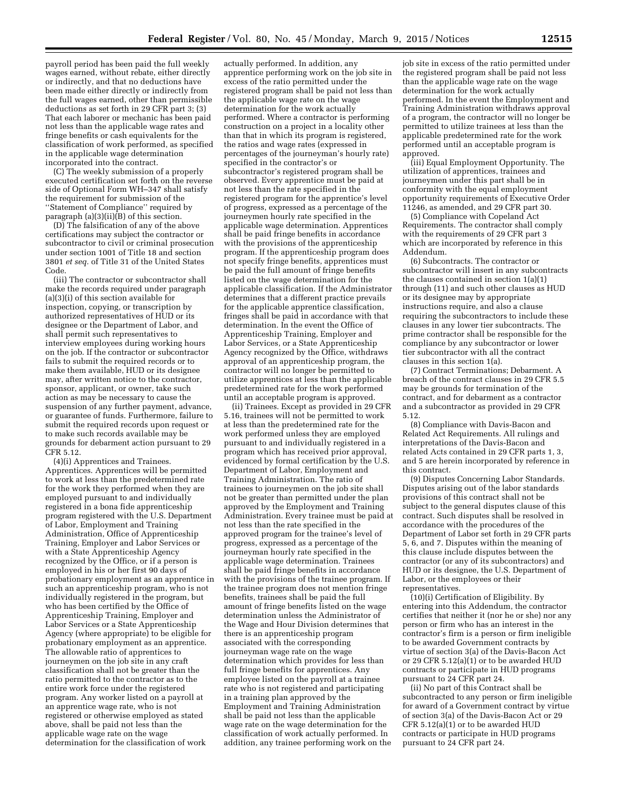payroll period has been paid the full weekly wages earned, without rebate, either directly or indirectly, and that no deductions have been made either directly or indirectly from the full wages earned, other than permissible deductions as set forth in 29 CFR part 3; (3) That each laborer or mechanic has been paid not less than the applicable wage rates and fringe benefits or cash equivalents for the classification of work performed, as specified in the applicable wage determination incorporated into the contract.

(C) The weekly submission of a properly executed certification set forth on the reverse side of Optional Form WH–347 shall satisfy the requirement for submission of the ''Statement of Compliance'' required by paragraph  $(a)(3)(ii)(B)$  of this section.

(D) The falsification of any of the above certifications may subject the contractor or subcontractor to civil or criminal prosecution under section 1001 of Title 18 and section 3801 *et seq.* of Title 31 of the United States Code.

(iii) The contractor or subcontractor shall make the records required under paragraph (a)(3)(i) of this section available for inspection, copying, or transcription by authorized representatives of HUD or its designee or the Department of Labor, and shall permit such representatives to interview employees during working hours on the job. If the contractor or subcontractor fails to submit the required records or to make them available, HUD or its designee may, after written notice to the contractor, sponsor, applicant, or owner, take such action as may be necessary to cause the suspension of any further payment, advance, or guarantee of funds. Furthermore, failure to submit the required records upon request or to make such records available may be grounds for debarment action pursuant to 29 CFR 5.12.

(4)(i) Apprentices and Trainees. Apprentices. Apprentices will be permitted to work at less than the predetermined rate for the work they performed when they are employed pursuant to and individually registered in a bona fide apprenticeship program registered with the U.S. Department of Labor, Employment and Training Administration, Office of Apprenticeship Training, Employer and Labor Services or with a State Apprenticeship Agency recognized by the Office, or if a person is employed in his or her first 90 days of probationary employment as an apprentice in such an apprenticeship program, who is not individually registered in the program, but who has been certified by the Office of Apprenticeship Training, Employer and Labor Services or a State Apprenticeship Agency (where appropriate) to be eligible for probationary employment as an apprentice. The allowable ratio of apprentices to journeymen on the job site in any craft classification shall not be greater than the ratio permitted to the contractor as to the entire work force under the registered program. Any worker listed on a payroll at an apprentice wage rate, who is not registered or otherwise employed as stated above, shall be paid not less than the applicable wage rate on the wage determination for the classification of work

actually performed. In addition, any apprentice performing work on the job site in excess of the ratio permitted under the registered program shall be paid not less than the applicable wage rate on the wage determination for the work actually performed. Where a contractor is performing construction on a project in a locality other than that in which its program is registered, the ratios and wage rates (expressed in percentages of the journeyman's hourly rate) specified in the contractor's or subcontractor's registered program shall be observed. Every apprentice must be paid at not less than the rate specified in the registered program for the apprentice's level of progress, expressed as a percentage of the journeymen hourly rate specified in the applicable wage determination. Apprentices shall be paid fringe benefits in accordance with the provisions of the apprenticeship program. If the apprenticeship program does not specify fringe benefits, apprentices must be paid the full amount of fringe benefits listed on the wage determination for the applicable classification. If the Administrator determines that a different practice prevails for the applicable apprentice classification, fringes shall be paid in accordance with that determination. In the event the Office of Apprenticeship Training, Employer and Labor Services, or a State Apprenticeship Agency recognized by the Office, withdraws approval of an apprenticeship program, the contractor will no longer be permitted to utilize apprentices at less than the applicable predetermined rate for the work performed until an acceptable program is approved.

(ii) Trainees. Except as provided in 29 CFR 5.16, trainees will not be permitted to work at less than the predetermined rate for the work performed unless they are employed pursuant to and individually registered in a program which has received prior approval, evidenced by formal certification by the U.S. Department of Labor, Employment and Training Administration. The ratio of trainees to journeymen on the job site shall not be greater than permitted under the plan approved by the Employment and Training Administration. Every trainee must be paid at not less than the rate specified in the approved program for the trainee's level of progress, expressed as a percentage of the journeyman hourly rate specified in the applicable wage determination. Trainees shall be paid fringe benefits in accordance with the provisions of the trainee program. If the trainee program does not mention fringe benefits, trainees shall be paid the full amount of fringe benefits listed on the wage determination unless the Administrator of the Wage and Hour Division determines that there is an apprenticeship program associated with the corresponding journeyman wage rate on the wage determination which provides for less than full fringe benefits for apprentices. Any employee listed on the payroll at a trainee rate who is not registered and participating in a training plan approved by the Employment and Training Administration shall be paid not less than the applicable wage rate on the wage determination for the classification of work actually performed. In addition, any trainee performing work on the

job site in excess of the ratio permitted under the registered program shall be paid not less than the applicable wage rate on the wage determination for the work actually performed. In the event the Employment and Training Administration withdraws approval of a program, the contractor will no longer be permitted to utilize trainees at less than the applicable predetermined rate for the work performed until an acceptable program is approved.

(iii) Equal Employment Opportunity. The utilization of apprentices, trainees and journeymen under this part shall be in conformity with the equal employment opportunity requirements of Executive Order 11246, as amended, and 29 CFR part 30.

(5) Compliance with Copeland Act Requirements. The contractor shall comply with the requirements of 29 CFR part 3 which are incorporated by reference in this Addendum.

(6) Subcontracts. The contractor or subcontractor will insert in any subcontracts the clauses contained in section 1(a)(1) through (11) and such other clauses as HUD or its designee may by appropriate instructions require, and also a clause requiring the subcontractors to include these clauses in any lower tier subcontracts. The prime contractor shall be responsible for the compliance by any subcontractor or lower tier subcontractor with all the contract clauses in this section 1(a).

(7) Contract Terminations; Debarment. A breach of the contract clauses in 29 CFR 5.5 may be grounds for termination of the contract, and for debarment as a contractor and a subcontractor as provided in 29 CFR 5.12.

(8) Compliance with Davis-Bacon and Related Act Requirements. All rulings and interpretations of the Davis-Bacon and related Acts contained in 29 CFR parts 1, 3, and 5 are herein incorporated by reference in this contract.

(9) Disputes Concerning Labor Standards. Disputes arising out of the labor standards provisions of this contract shall not be subject to the general disputes clause of this contract. Such disputes shall be resolved in accordance with the procedures of the Department of Labor set forth in 29 CFR parts 5, 6, and 7. Disputes within the meaning of this clause include disputes between the contractor (or any of its subcontractors) and HUD or its designee, the U.S. Department of Labor, or the employees or their representatives.

(10)(i) Certification of Eligibility. By entering into this Addendum, the contractor certifies that neither it (nor he or she) nor any person or firm who has an interest in the contractor's firm is a person or firm ineligible to be awarded Government contracts by virtue of section 3(a) of the Davis-Bacon Act or 29 CFR 5.12(a)(1) or to be awarded HUD contracts or participate in HUD programs pursuant to 24 CFR part 24.

(ii) No part of this Contract shall be subcontracted to any person or firm ineligible for award of a Government contract by virtue of section 3(a) of the Davis-Bacon Act or 29 CFR 5.12(a)(1) or to be awarded HUD contracts or participate in HUD programs pursuant to 24 CFR part 24.